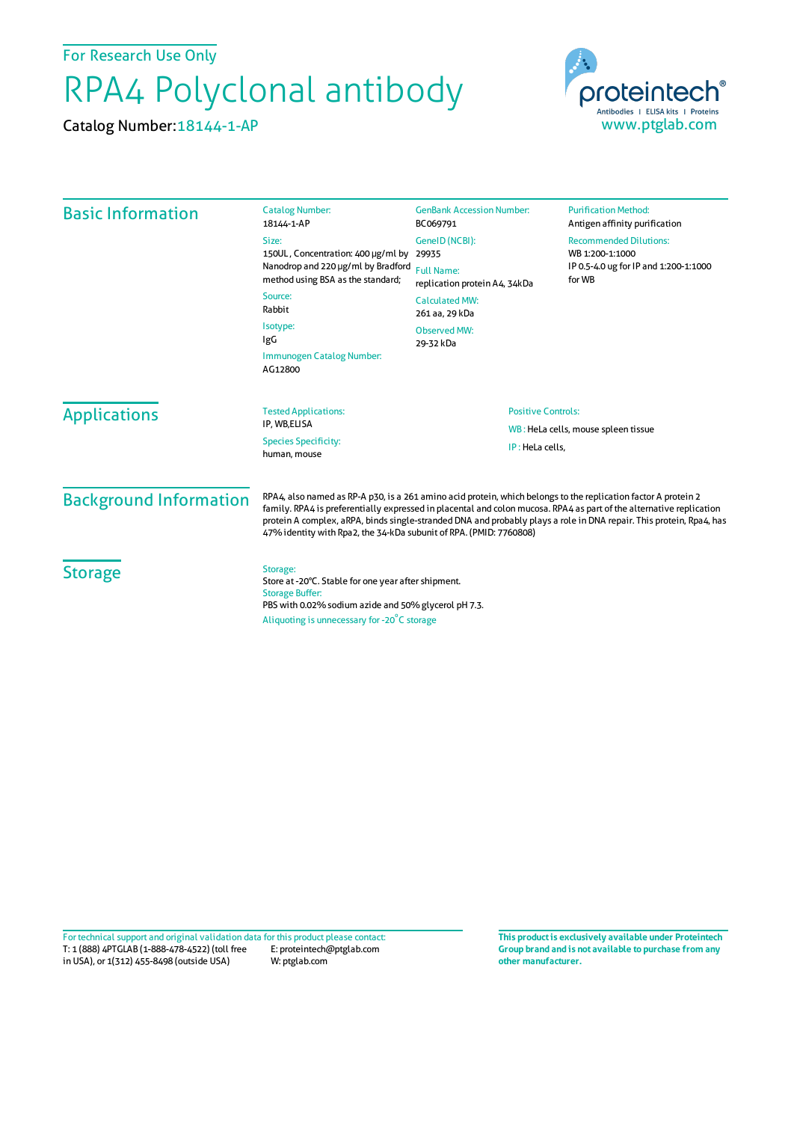For Research Use Only

## RPA4 Polyclonal antibody

Catalog Number:18144-1-AP



| <b>Basic Information</b>                               | <b>Catalog Number:</b><br>18144-1-AP                                                                                                                                                                                                                                                                                                                                                                                               | <b>GenBank Accession Number:</b><br>BC069791                                                  | <b>Purification Method:</b><br>Antigen affinity purification                                        |
|--------------------------------------------------------|------------------------------------------------------------------------------------------------------------------------------------------------------------------------------------------------------------------------------------------------------------------------------------------------------------------------------------------------------------------------------------------------------------------------------------|-----------------------------------------------------------------------------------------------|-----------------------------------------------------------------------------------------------------|
|                                                        | Size:<br>150UL, Concentration: 400 µg/ml by<br>Nanodrop and 220 µg/ml by Bradford<br>method using BSA as the standard;<br>Source:<br>Rabbit                                                                                                                                                                                                                                                                                        | GenelD (NCBI):<br>29935                                                                       | <b>Recommended Dilutions:</b><br>WB 1:200-1:1000<br>IP 0.5-4.0 ug for IP and 1:200-1:1000<br>for WB |
|                                                        |                                                                                                                                                                                                                                                                                                                                                                                                                                    | <b>Full Name:</b><br>replication protein A4, 34kDa<br><b>Calculated MW:</b><br>261 aa, 29 kDa |                                                                                                     |
|                                                        |                                                                                                                                                                                                                                                                                                                                                                                                                                    |                                                                                               |                                                                                                     |
|                                                        | Immunogen Catalog Number:<br>AG12800                                                                                                                                                                                                                                                                                                                                                                                               |                                                                                               |                                                                                                     |
|                                                        | <b>Applications</b>                                                                                                                                                                                                                                                                                                                                                                                                                | <b>Tested Applications:</b><br>IP, WB,ELISA<br><b>Species Specificity:</b><br>human, mouse    | <b>Positive Controls:</b>                                                                           |
| WB: HeLa cells, mouse spleen tissue<br>IP: HeLa cells. |                                                                                                                                                                                                                                                                                                                                                                                                                                    |                                                                                               |                                                                                                     |
| <b>Background Information</b>                          | RPA4, also named as RP-A p30, is a 261 amino acid protein, which belongs to the replication factor A protein 2<br>family. RPA4 is preferentially expressed in placental and colon mucosa. RPA4 as part of the alternative replication<br>protein A complex, aRPA, binds single-stranded DNA and probably plays a role in DNA repair. This protein, Rpa4, has<br>47% identity with Rpa2, the 34-kDa subunit of RPA. (PMID: 7760808) |                                                                                               |                                                                                                     |
| <b>Storage</b>                                         | Storage:<br>Store at -20°C. Stable for one year after shipment.<br><b>Storage Buffer:</b><br>PBS with 0.02% sodium azide and 50% glycerol pH 7.3.<br>Aliquoting is unnecessary for -20°C storage                                                                                                                                                                                                                                   |                                                                                               |                                                                                                     |

T: 1 (888) 4PTGLAB (1-888-478-4522) (toll free in USA), or 1(312) 455-8498 (outside USA) E: proteintech@ptglab.com W: ptglab.com Fortechnical support and original validation data forthis product please contact: **This productis exclusively available under Proteintech**

**Group brand and is not available to purchase from any other manufacturer.**